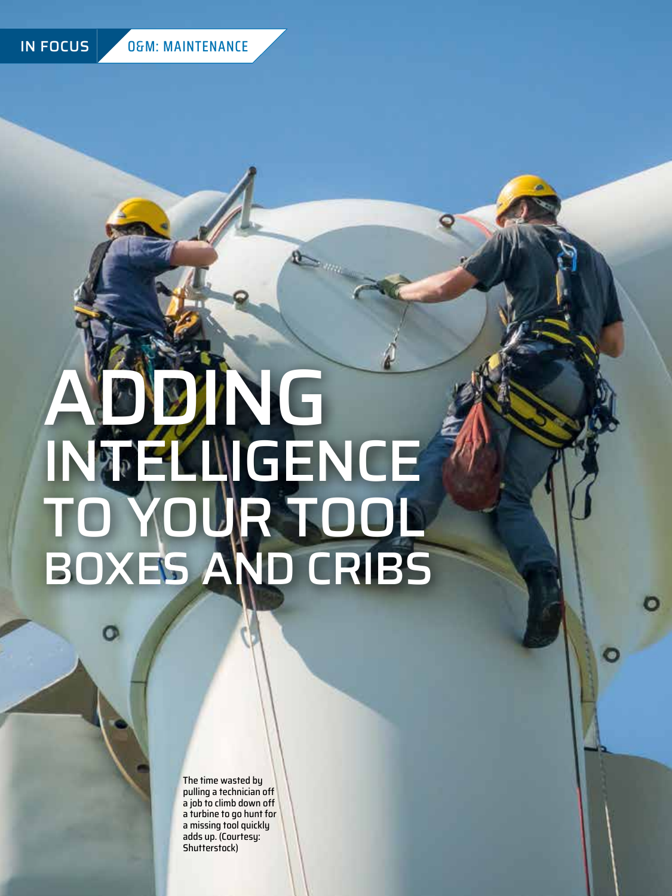# ADD NG INTELLIGENCE TO YOUR TOOL BOXES AND CRIBS

The time wasted by pulling a technician off a job to climb down off a turbine to go hunt for a missing tool quickly adds up. (Courtesy: Shutterstock)

O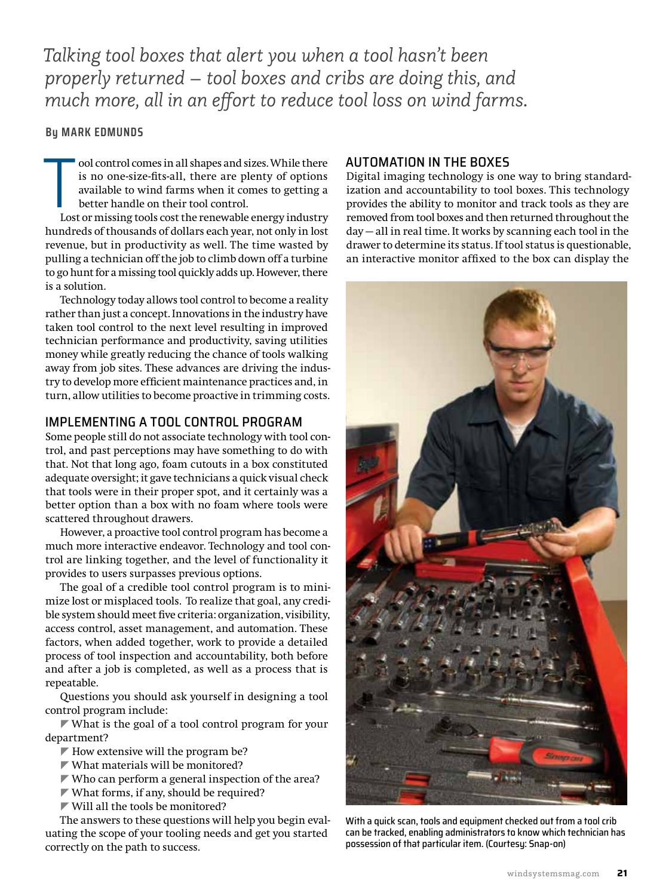*Talking tool boxes that alert you when a tool hasn't been properly returned – tool boxes and cribs are doing this, and much more, all in an effort to reduce tool loss on wind farms.*

### **By MARK EDMUNDS**

ool control comes in all shapes and sizes. While there is no one-size-fits-all, there are plenty of options available to wind farms when it comes to getting a better handle on their tool control.

 $\frac{1}{\sqrt{2}}$ Lost or missing tools cost the renewable energy industry hundreds of thousands of dollars each year, not only in lost revenue, but in productivity as well. The time wasted by pulling a technician off the job to climb down off a turbine to go hunt for a missing tool quickly adds up. However, there is a solution.

Technology today allows tool control to become a reality rather than just a concept. Innovations in the industry have taken tool control to the next level resulting in improved technician performance and productivity, saving utilities money while greatly reducing the chance of tools walking away from job sites. These advances are driving the industry to develop more efficient maintenance practices and, in turn, allow utilities to become proactive in trimming costs.

## IMPLEMENTING A TOOL CONTROL PROGRAM

Some people still do not associate technology with tool control, and past perceptions may have something to do with that. Not that long ago, foam cutouts in a box constituted adequate oversight; it gave technicians a quick visual check that tools were in their proper spot, and it certainly was a better option than a box with no foam where tools were scattered throughout drawers.

However, a proactive tool control program has become a much more interactive endeavor. Technology and tool control are linking together, and the level of functionality it provides to users surpasses previous options.

The goal of a credible tool control program is to minimize lost or misplaced tools. To realize that goal, any credible system should meet five criteria: organization, visibility, access control, asset management, and automation. These factors, when added together, work to provide a detailed process of tool inspection and accountability, both before and after a job is completed, as well as a process that is repeatable.

Questions you should ask yourself in designing a tool control program include:

 $\blacktriangledown$  What is the goal of a tool control program for your department?

- $\blacktriangleright$  How extensive will the program be?
- $\blacktriangleright$  What materials will be monitored?
- $\blacktriangledown$  Who can perform a general inspection of the area?
- $\blacktriangleright$  What forms, if any, should be required?
- $\blacktriangledown$  Will all the tools be monitored?

The answers to these questions will help you begin evaluating the scope of your tooling needs and get you started correctly on the path to success.

# AUTOMATION IN THE BOXES

Digital imaging technology is one way to bring standardization and accountability to tool boxes. This technology provides the ability to monitor and track tools as they are removed from tool boxes and then returned throughout the day — all in real time. It works by scanning each tool in the drawer to determine its status. If tool status is questionable, an interactive monitor affixed to the box can display the



With a quick scan, tools and equipment checked out from a tool crib can be tracked, enabling administrators to know which technician has possession of that particular item. (Courtesy: Snap-on)